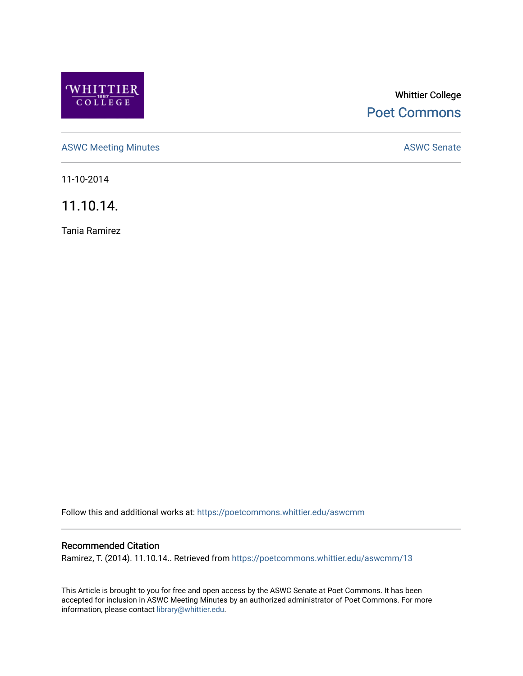

# Whittier College [Poet Commons](https://poetcommons.whittier.edu/)

[ASWC Meeting Minutes](https://poetcommons.whittier.edu/aswcmm) **ASWC Senate** 

11-10-2014

11.10.14.

Tania Ramirez

Follow this and additional works at: [https://poetcommons.whittier.edu/aswcmm](https://poetcommons.whittier.edu/aswcmm?utm_source=poetcommons.whittier.edu%2Faswcmm%2F13&utm_medium=PDF&utm_campaign=PDFCoverPages)

#### Recommended Citation

Ramirez, T. (2014). 11.10.14.. Retrieved from [https://poetcommons.whittier.edu/aswcmm/13](https://poetcommons.whittier.edu/aswcmm/13?utm_source=poetcommons.whittier.edu%2Faswcmm%2F13&utm_medium=PDF&utm_campaign=PDFCoverPages)

This Article is brought to you for free and open access by the ASWC Senate at Poet Commons. It has been accepted for inclusion in ASWC Meeting Minutes by an authorized administrator of Poet Commons. For more information, please contact [library@whittier.edu.](mailto:library@whittier.edu)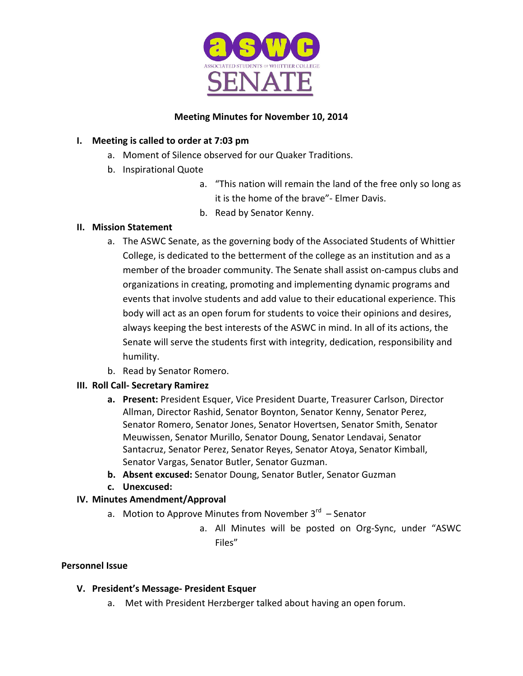

# **Meeting Minutes for November 10, 2014**

# **I.** Meeting is called to order at 7:03 pm

- a. Moment of Silence observed for our Quaker Traditions.
- b. Inspirational Quote
	- a. "This nation will remain the land of the free only so long as it is the home of the brave"- Elmer Davis.
	- b. Read by Senator Kenny.

### **II. Mission Statement**

- a. The ASWC Senate, as the governing body of the Associated Students of Whittier College, is dedicated to the betterment of the college as an institution and as a member of the broader community. The Senate shall assist on-campus clubs and organizations in creating, promoting and implementing dynamic programs and events that involve students and add value to their educational experience. This body will act as an open forum for students to voice their opinions and desires, always keeping the best interests of the ASWC in mind. In all of its actions, the Senate will serve the students first with integrity, dedication, responsibility and humility.
- b. Read by Senator Romero.

# **III. Roll Call- Secretary Ramirez**

- **a.** Present: President Esquer, Vice President Duarte, Treasurer Carlson, Director Allman, Director Rashid, Senator Boynton, Senator Kenny, Senator Perez, Senator Romero, Senator Jones, Senator Hovertsen, Senator Smith, Senator Meuwissen, Senator Murillo, Senator Doung, Senator Lendavai, Senator Santacruz, Senator Perez, Senator Reyes, Senator Atoya, Senator Kimball, Senator Vargas, Senator Butler, Senator Guzman.
- **b.** Absent excused: Senator Doung, Senator Butler, Senator Guzman
- **c. Unexcused:**

# **IV. Minutes Amendment/Approval**

- a. Motion to Approve Minutes from November  $3<sup>rd</sup>$  Senator
	- a. All Minutes will be posted on Org-Sync, under "ASWC Files"

### **Personnel Issue**

### **V. President's Message- President Esquer**

a. Met with President Herzberger talked about having an open forum.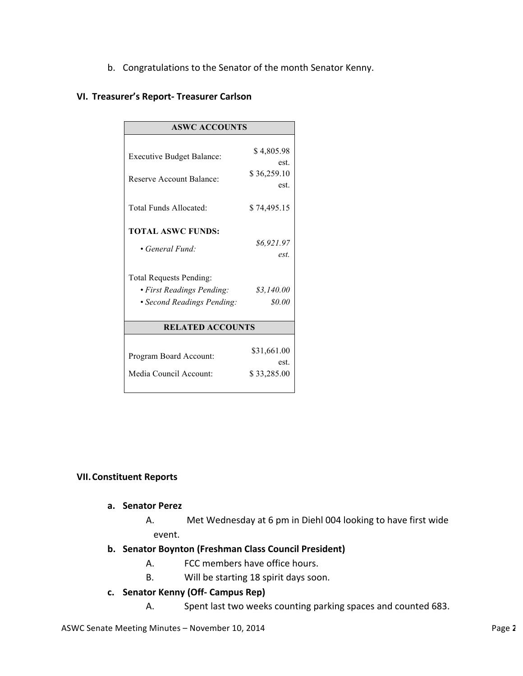b. Congratulations to the Senator of the month Senator Kenny.

#### **VI. Treasurer's Report- Treasurer Carlson**

| <b>ASWC ACCOUNTS</b>                             |                                    |
|--------------------------------------------------|------------------------------------|
| <b>Executive Budget Balance:</b>                 | \$4,805.98<br>est.                 |
| Reserve Account Balance:                         | \$36,259.10<br>est.                |
| Total Funds Allocated:                           | \$74,495.15                        |
| <b>TOTAL ASWC FUNDS:</b>                         |                                    |
| • General Fund:                                  | \$6.921.97<br>est.                 |
| <b>Total Requests Pending:</b>                   |                                    |
| • First Readings Pending:                        | \$3,140.00                         |
| • Second Readings Pending:                       | \$0.00                             |
| <b>RELATED ACCOUNTS</b>                          |                                    |
| Program Board Account:<br>Media Council Account: | \$31,661.00<br>est.<br>\$33,285.00 |

#### **VII.Constituent Reports**

#### **a. Senator Perez**

A. Met Wednesday at 6 pm in Diehl 004 looking to have first wide event.

#### **b. Senator Boynton (Freshman Class Council President)**

- A. FCC members have office hours.
- B. Will be starting 18 spirit days soon.

#### **c. Senator Kenny (Off- Campus Rep)**

A. Spent last two weeks counting parking spaces and counted 683.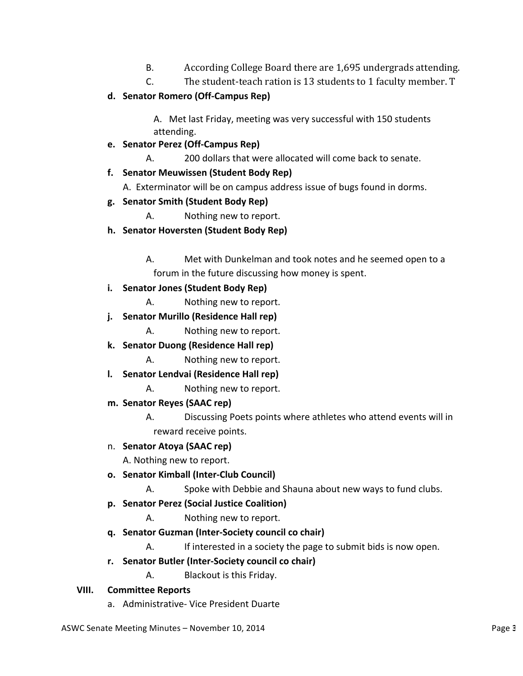- B. According College Board there are 1,695 undergrads attending.
- C. The student-teach ration is 13 students to 1 faculty member. T

# **d. Senator Romero (Off-Campus Rep)**

A. Met last Friday, meeting was very successful with 150 students attending. 

# **e. Senator Perez (Off-Campus Rep)**

A. 200 dollars that were allocated will come back to senate.

# **f. Senator Meuwissen (Student Body Rep)**

A. Exterminator will be on campus address issue of bugs found in dorms.

# **g. Senator Smith (Student Body Rep)**

- A. Nothing new to report.
- **h. Senator Hoversten (Student Body Rep)**
	- A. Met with Dunkelman and took notes and he seemed open to a forum in the future discussing how money is spent.
- **i. Senator Jones (Student Body Rep)**
	- A. Nothing new to report.
- **j. Senator Murillo (Residence Hall rep)**
	- A. Nothing new to report.
- **k. Senator Duong (Residence Hall rep)**
	- A. Nothing new to report.
- **l. Senator Lendvai (Residence Hall rep)**
	- A. Nothing new to report.
- **m. Senator Reyes (SAAC rep)**
	- A. Discussing Poets points where athletes who attend events will in reward receive points.

### n. **Senator Atoya (SAAC rep)**

A. Nothing new to report.

- **o. Senator Kimball (Inter-Club Council)**
	- A. Spoke with Debbie and Shauna about new ways to fund clubs.
- **p. Senator Perez (Social Justice Coalition)**
	- A. Nothing new to report.
- **q. Senator Guzman (Inter-Society council co chair)**
	- A. If interested in a society the page to submit bids is now open.
- **r. Senator Butler (Inter-Society council co chair)**
	- A. Blackout is this Friday.

### **VIII. Committee Reports**

a. Administrative- Vice President Duarte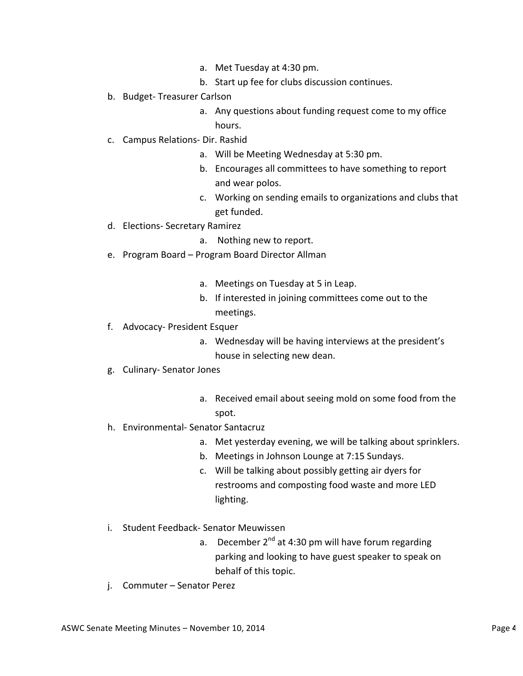- a. Met Tuesday at 4:30 pm.
- b. Start up fee for clubs discussion continues.
- b. Budget- Treasurer Carlson
	- a. Any questions about funding request come to my office hours.
- c. Campus Relations- Dir. Rashid
	- a. Will be Meeting Wednesday at 5:30 pm.
	- b. Encourages all committees to have something to report and wear polos.
	- c. Working on sending emails to organizations and clubs that get funded.
- d. Elections- Secretary Ramirez
	- a. Nothing new to report.
- e. Program Board Program Board Director Allman
	- a. Meetings on Tuesday at 5 in Leap.
	- b. If interested in joining committees come out to the meetings.
- f. Advocacy- President Esquer
	- a. Wednesday will be having interviews at the president's house in selecting new dean.
- g. Culinary- Senator Jones
	- a. Received email about seeing mold on some food from the spot.
- h. Environmental- Senator Santacruz
	- a. Met yesterday evening, we will be talking about sprinklers.
	- b. Meetings in Johnson Lounge at 7:15 Sundays.
	- c. Will be talking about possibly getting air dyers for restrooms and composting food waste and more LED lighting.
- i. Student Feedback- Senator Meuwissen
	- a. December  $2^{nd}$  at 4:30 pm will have forum regarding parking and looking to have guest speaker to speak on behalf of this topic.
- j. Commuter Senator Perez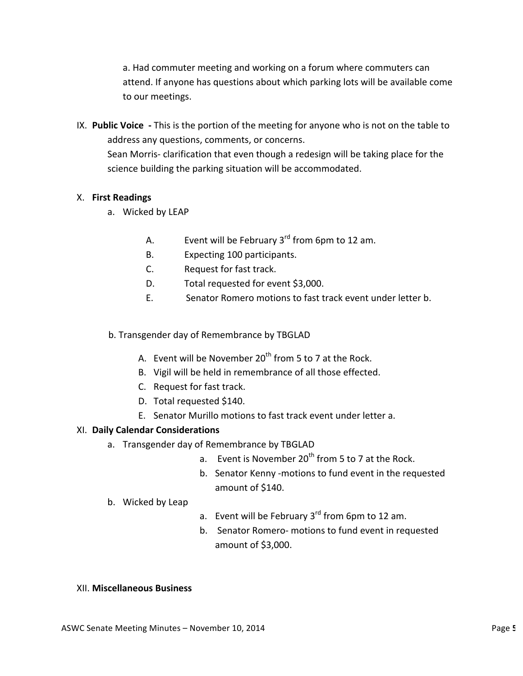a. Had commuter meeting and working on a forum where commuters can attend. If anyone has questions about which parking lots will be available come to our meetings.

IX. Public Voice - This is the portion of the meeting for anyone who is not on the table to address any questions, comments, or concerns. Sean Morris- clarification that even though a redesign will be taking place for the science building the parking situation will be accommodated.

### X. **First Readings**

- a. Wicked by LEAP
	- A. Event will be February  $3^{rd}$  from 6pm to 12 am.
	- B. Expecting 100 participants.
	- C. Request for fast track.
	- D. Total requested for event \$3,000.
	- E. Senator Romero motions to fast track event under letter b.

### b. Transgender day of Remembrance by TBGLAD

- A. Event will be November  $20<sup>th</sup>$  from 5 to 7 at the Rock.
- B. Vigil will be held in remembrance of all those effected.
- C. Request for fast track.
- D. Total requested \$140.
- E. Senator Murillo motions to fast track event under letter a.

### XI. **Daily Calendar Considerations**

- a. Transgender day of Remembrance by TBGLAD
	- a. Event is November  $20^{th}$  from 5 to 7 at the Rock.
	- b. Senator Kenny -motions to fund event in the requested amount of \$140.
- b. Wicked by Leap
- a. Event will be February  $3^{rd}$  from 6pm to 12 am.
- b. Senator Romero- motions to fund event in requested amount of \$3,000.

#### XII. **Miscellaneous Business**